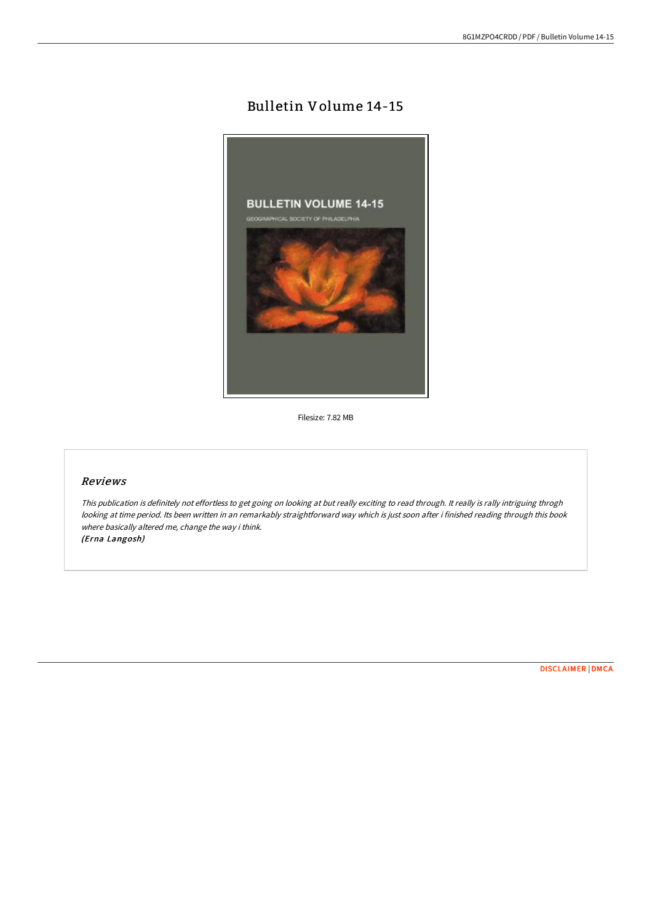# Bulletin Volume 14-15



Filesize: 7.82 MB

# Reviews

This publication is definitely not effortless to get going on looking at but really exciting to read through. It really is rally intriguing throgh looking at time period. Its been written in an remarkably straightforward way which is just soon after i finished reading through this book where basically altered me, change the way i think. (Erna Langosh)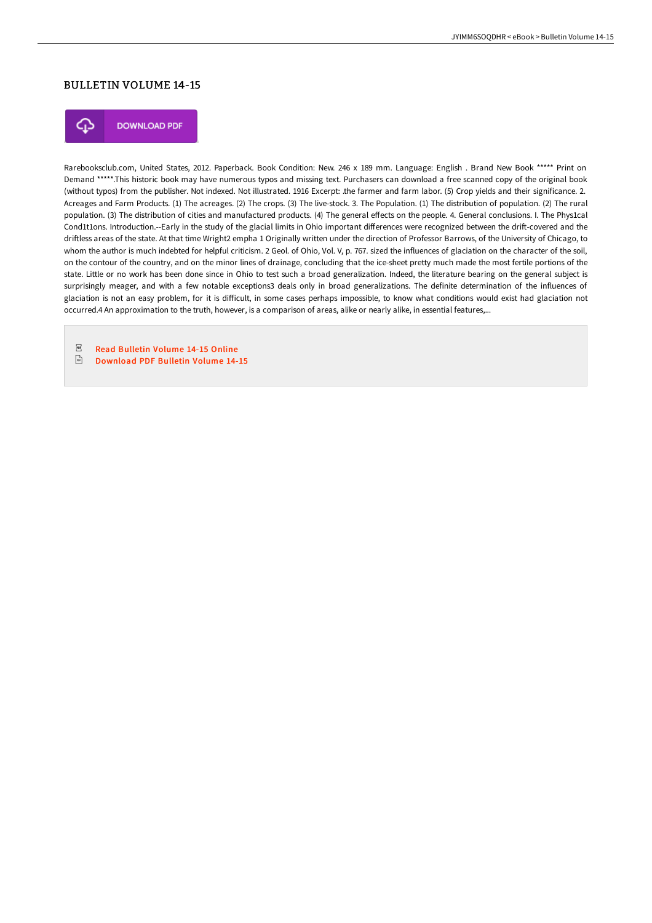### BULLETIN VOLUME 14-15



**DOWNLOAD PDF** 

Rarebooksclub.com, United States, 2012. Paperback. Book Condition: New. 246 x 189 mm. Language: English . Brand New Book \*\*\*\*\* Print on Demand \*\*\*\*\*.This historic book may have numerous typos and missing text. Purchasers can download a free scanned copy of the original book (without typos) from the publisher. Not indexed. Not illustrated. 1916 Excerpt: .the farmer and farm labor. (5) Crop yields and their significance. 2. Acreages and Farm Products. (1) The acreages. (2) The crops. (3) The live-stock. 3. The Population. (1) The distribution of population. (2) The rural population. (3) The distribution of cities and manufactured products. (4) The general effects on the people. 4. General conclusions. I. The Phys1cal Cond1t1ons. Introduction.--Early in the study of the glacial limits in Ohio important differences were recognized between the drift-covered and the driftless areas of the state. At that time Wright2 empha 1 Originally written under the direction of Professor Barrows, of the University of Chicago, to whom the author is much indebted for helpful criticism. 2 Geol. of Ohio, Vol. V, p. 767. sized the influences of glaciation on the character of the soil, on the contour of the country, and on the minor lines of drainage, concluding that the ice-sheet pretty much made the most fertile portions of the state. Little or no work has been done since in Ohio to test such a broad generalization. Indeed, the literature bearing on the general subject is surprisingly meager, and with a few notable exceptions3 deals only in broad generalizations. The definite determination of the influences of glaciation is not an easy problem, for it is difficult, in some cases perhaps impossible, to know what conditions would exist had glaciation not occurred.4 An approximation to the truth, however, is a comparison of areas, alike or nearly alike, in essential features,...

 $_{\mathrm{PDF}}$ Read [Bulletin](http://albedo.media/bulletin-volume-14-15-paperback.html) Volume 14-15 Online

 $\frac{1}{100}$ [Download](http://albedo.media/bulletin-volume-14-15-paperback.html) PDF Bulletin Volume 14-15